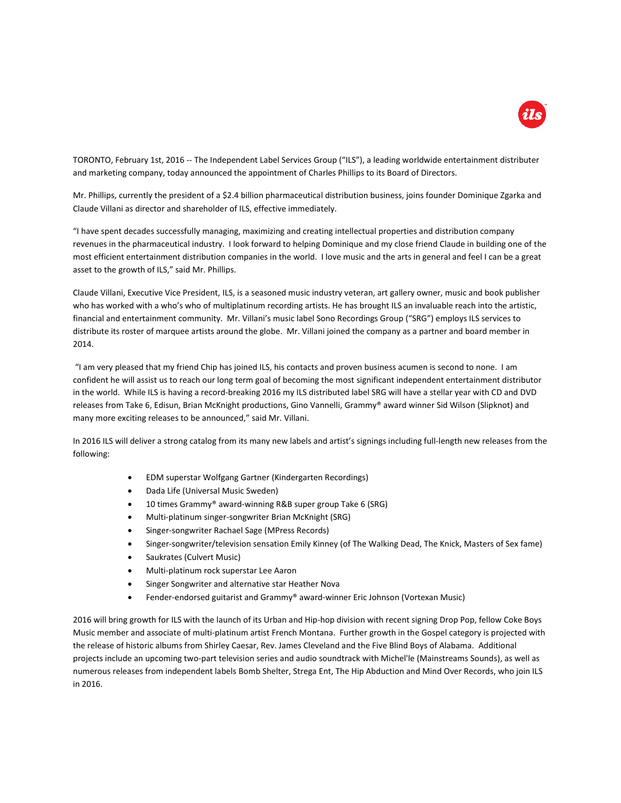

TORONTO, February 1st, 2016 -- The Independent Label Services Group ("ILS"), a leading worldwide entertainment distributer and marketing company, today announced the appointment of Charles Phillips to its Board of Directors.

Mr. Phillips, currently the president of a \$2.4 billion pharmaceutical distribution business, joins founder Dominique Zgarka and Claude Villani as director and shareholder of ILS, effective immediately.

"I have spent decades successfully managing, maximizing and creating intellectual properties and distribution company revenues in the pharmaceutical industry. I look forward to helping Dominique and my close friend Claude in building one of the most efficient entertainment distribution companies in the world. I love music and the arts in general and feel I can be a great asset to the growth of ILS," said Mr. Phillips.

Claude Villani, Executive Vice President, ILS, is a seasoned music industry veteran, art gallery owner, music and book publisher who has worked with a who's who of multiplatinum recording artists. He has brought ILS an invaluable reach into the artistic, financial and entertainment community. Mr. Villani's music label Sono Recordings Group ("SRG") employs ILS services to distribute its roster of marquee artists around the globe. Mr. Villani joined the company as a partner and board member in 2014.

"I am very pleased that my friend Chip has joined ILS, his contacts and proven business acumen is second to none. I am confident he will assist us to reach our long term goal of becoming the most significant independent entertainment distributor in the world. While ILS is having a record-breaking 2016 my ILS distributed label SRG will have a stellar year with CD and DVD releases from Take 6, Edisun, Brian McKnight productions, Gino Vannelli, Grammy® award winner Sid Wilson (Slipknot) and many more exciting releases to be announced," said Mr. Villani.

In 2016 ILS will deliver a strong catalog from its many new labels and artist's signings including full-length new releases from the following:

- EDM superstar Wolfgang Gartner (Kindergarten Recordings)
- Dada Life (Universal Music Sweden)
- 10 times Grammy® award-winning R&B super group Take 6 (SRG)
- Multi-platinum singer-songwriter Brian McKnight (SRG)
- Singer-songwriter Rachael Sage (MPress Records)
- Singer-songwriter/television sensation Emily Kinney (of The Walking Dead, The Knick, Masters of Sex fame)
- Saukrates (Culvert Music)
- Multi-platinum rock superstar Lee Aaron
- **•** Singer Songwriter and alternative star Heather Nova
- Fender-endorsed guitarist and Grammy® award-winner Eric Johnson (Vortexan Music)

2016 will bring growth for ILS with the launch of its Urban and Hip-hop division with recent signing Drop Pop, fellow Coke Boys Music member and associate of multi-platinum artist French Montana. Further growth in the Gospel category is projected with the release of historic albums from Shirley Caesar, Rev. James Cleveland and the Five Blind Boys of Alabama. Additional projects include an upcoming two-part television series and audio soundtrack with Michel'le (Mainstreams Sounds), as well as numerous releases from independent labels Bomb Shelter, Strega Ent, The Hip Abduction and Mind Over Records, who join ILS in 2016.